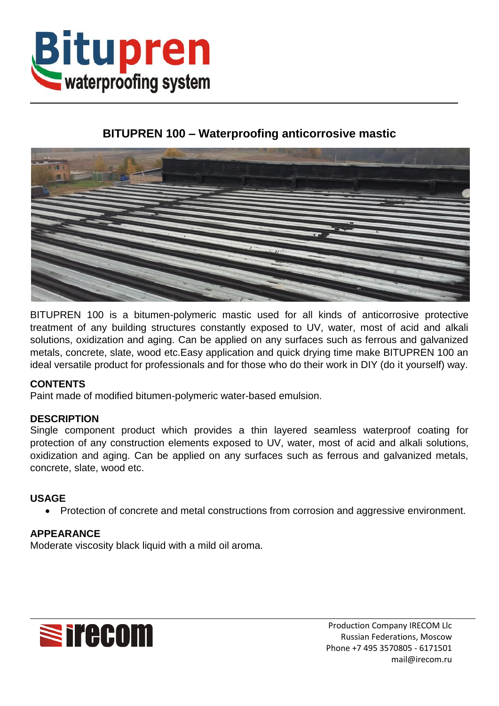

# **BITUPREN 100 – Waterproofing anticorrosive mastic**



BITUPREN 100 is a bitumen-polymeric mastic used for all kinds of anticorrosive protective treatment of any building structures constantly exposed to UV, water, most of acid and alkali solutions, oxidization and aging. Can be applied on any surfaces such as ferrous and galvanized metals, concrete, slate, wood etc.Easy application and quick drying time make BITUPREN 100 an ideal versatile product for professionals and for those who do their work in DIY (do it yourself) way.

## **CONTENTS**

Paint made of modified bitumen-polymeric water-based emulsion.

## **DESCRIPTION**

Single component product which provides a thin layered seamless waterproof coating for protection of any construction elements exposed to UV, water, most of acid and alkali solutions, oxidization and aging. Can be applied on any surfaces such as ferrous and galvanized metals, concrete, slate, wood etc.

#### **USAGE**

Protection of concrete and metal constructions from corrosion and aggressive environment.

## **APPEARANCE**

Moderate viscosity black liquid with a mild oil aroma.



Production Company IRECOM Llc Russian Federations, Moscow Phone +7 495 3570805 - 6171501 mail@irecom.ru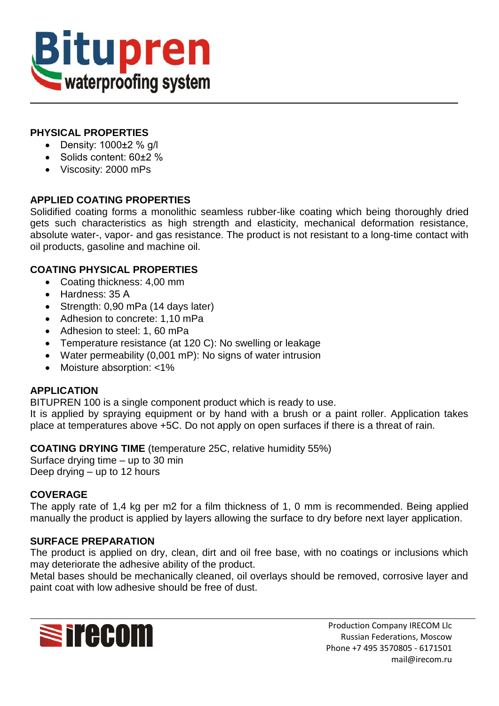

## **PHYSICAL PROPERTIES**

- $\bullet$  Density: 1000 $\pm$ 2 % g/l
- Solids content: 60±2 %
- Viscosity: 2000 mPs

## **APPLIED COATING PROPERTIES**

Solidified coating forms a monolithic seamless rubber-like coating which being thoroughly dried gets such characteristics as high strength and elasticity, mechanical deformation resistance, absolute water-, vapor- and gas resistance. The product is not resistant to a long-time contact with oil products, gasoline and machine oil.

## **COATING PHYSICAL PROPERTIES**

- Coating thickness: 4,00 mm
- Hardness: 35 A
- Strength: 0,90 mPa (14 days later)
- Adhesion to concrete: 1,10 mPa
- Adhesion to steel: 1, 60 mPa
- Temperature resistance (at 120 C): No swelling or leakage
- Water permeability (0,001 mP): No signs of water intrusion
- Moisture absorption: <1%

## **APPLICATION**

BITUPREN 100 is a single component product which is ready to use.

It is applied by spraying equipment or by hand with a brush or a paint roller. Application takes place at temperatures above +5C. Do not apply on open surfaces if there is a threat of rain.

**COATING DRYING TIME** (temperature 25C, relative humidity 55%)

Surface drying time – up to 30 min Deep drying – up to 12 hours

## **COVERAGE**

The apply rate of 1,4 kg per m2 for a film thickness of 1, 0 mm is recommended. Being applied manually the product is applied by layers allowing the surface to dry before next layer application.

## **SURFACE PREPARATION**

The product is applied on dry, clean, dirt and oil free base, with no coatings or inclusions which may deteriorate the adhesive ability of the product.

Metal bases should be mechanically cleaned, oil overlays should be removed, corrosive layer and paint coat with low adhesive should be free of dust.



Production Company IRECOM Llc Russian Federations, Moscow Phone +7 495 3570805 - 6171501 mail@irecom.ru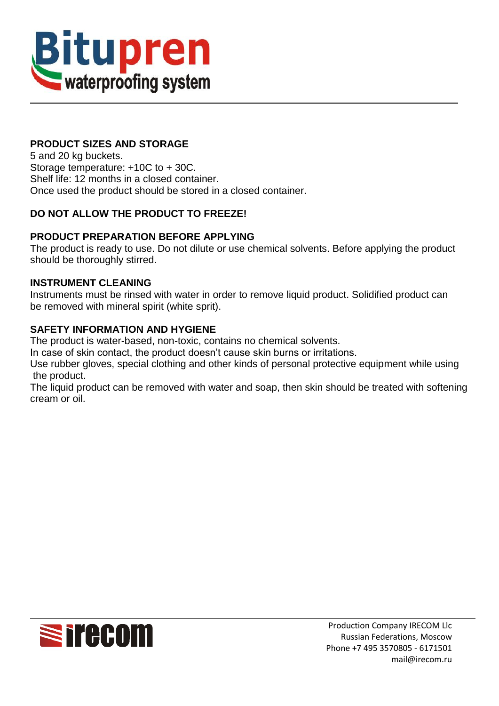

# **PRODUCT SIZES AND STORAGE**

5 and 20 kg buckets. Storage temperature: +10C to + 30C. Shelf life: 12 months in a closed container. Once used the product should be stored in a closed container.

## **DO NOT ALLOW THE PRODUCT TO FREEZE!**

#### **PRODUCT PREPARATION BEFORE APPLYING**

The product is ready to use. Do not dilute or use chemical solvents. Before applying the product should be thoroughly stirred.

#### **INSTRUMENT CLEANING**

Instruments must be rinsed with water in order to remove liquid product. Solidified product can be removed with mineral spirit (white sprit).

#### **SAFETY INFORMATION AND HYGIENE**

The product is water-based, non-toxic, contains no chemical solvents.

In case of skin contact, the product doesn't cause skin burns or irritations.

Use rubber gloves, special clothing and other kinds of personal protective equipment while using the product.

The liquid product can be removed with water and soap, then skin should be treated with softening cream or oil.

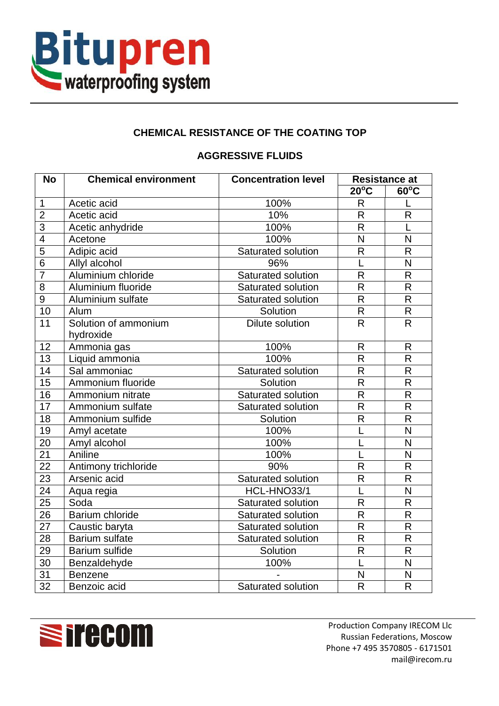

# **CHEMICAL RESISTANCE OF THE COATING TOP**

## **AGGRESSIVE FLUIDS**

| <b>No</b>       | <b>Chemical environment</b>       | <b>Concentration level</b> | <b>Resistance at</b>    |                         |
|-----------------|-----------------------------------|----------------------------|-------------------------|-------------------------|
|                 |                                   |                            | $20^{\circ}$ C          | $60^{\circ}$ C          |
| $\mathbf 1$     | Acetic acid                       | 100%                       | $\mathsf{R}$            |                         |
| $\overline{2}$  | Acetic acid                       | 10%                        | $\overline{\mathsf{R}}$ | $\overline{R}$          |
| $\overline{3}$  | Acetic anhydride                  | 100%                       | R                       | L                       |
| $\overline{4}$  | Acetone                           | 100%                       | N                       | N                       |
| $\overline{5}$  | Adipic acid                       | Saturated solution         | $\overline{\mathsf{R}}$ | $\mathsf{R}$            |
| $\overline{6}$  | Allyl alcohol                     | 96%                        |                         | $\overline{N}$          |
| $\overline{7}$  | Aluminium chloride                | Saturated solution         | $\mathsf{R}$            | $\mathsf{R}$            |
| $\overline{8}$  | Aluminium fluoride                | Saturated solution         | $\overline{\mathsf{R}}$ | $\overline{R}$          |
| $\overline{9}$  | Aluminium sulfate                 | Saturated solution         | $\overline{R}$          | $\mathsf{R}$            |
| 10              | Alum                              | Solution                   | $\overline{\mathsf{R}}$ | $\mathsf{R}$            |
| 11              | Solution of ammonium<br>hydroxide | Dilute solution            | $\mathsf{R}$            | $\mathsf{R}$            |
| 12              | Ammonia gas                       | 100%                       | $\mathsf{R}$            | $\mathsf{R}$            |
| 13              | Liquid ammonia                    | 100%                       | $\overline{\mathsf{R}}$ | $\mathsf{R}$            |
| $\overline{14}$ | Sal ammoniac                      | Saturated solution         | $\mathsf{R}$            | $\mathsf{R}$            |
| $\overline{15}$ | Ammonium fluoride                 | Solution                   | $\overline{R}$          | $\overline{\mathsf{R}}$ |
| 16              | Ammonium nitrate                  | Saturated solution         | $\overline{R}$          | $\mathsf{R}$            |
| $\overline{17}$ | Ammonium sulfate                  | Saturated solution         | $\overline{\mathsf{R}}$ | $\mathsf{R}$            |
| $\overline{18}$ | Ammonium sulfide                  | Solution                   | $\mathsf{R}$            | $\mathsf{R}$            |
| 19              | Amyl acetate                      | 100%                       |                         | $\overline{\mathsf{N}}$ |
| 20              | Amyl alcohol                      | 100%                       |                         | $\overline{\mathsf{N}}$ |
| $\overline{21}$ | Aniline                           | 100%                       |                         | $\overline{\mathsf{N}}$ |
| $\overline{22}$ | Antimony trichloride              | 90%                        | $\mathsf{R}$            | $\mathsf{R}$            |
| $\overline{23}$ | Arsenic acid                      | Saturated solution         | $\mathsf{R}$            | $\mathsf{R}$            |
| $\overline{24}$ | Aqua regia                        | HCL-HNO33/1                |                         | N                       |
| 25              | Soda                              | Saturated solution         | $\mathsf{R}$            | $\mathsf{R}$            |
| $\overline{26}$ | Barium chloride                   | Saturated solution         | $\overline{\mathsf{R}}$ | $\mathsf{R}$            |
| $\overline{27}$ | Caustic baryta                    | Saturated solution         | $\overline{\mathsf{R}}$ | $\overline{R}$          |
| 28              | <b>Barium sulfate</b>             | Saturated solution         | $\overline{R}$          | $\mathsf{R}$            |
| 29              | <b>Barium sulfide</b>             | Solution                   | $\overline{R}$          | $\mathsf{R}$            |
| $\overline{30}$ | Benzaldehyde                      | 100%                       |                         | $\overline{\mathsf{N}}$ |
| 31              | Benzene                           |                            | N                       | $\overline{\mathsf{N}}$ |
| $\overline{32}$ | Benzoic acid                      | Saturated solution         | R                       | $\mathsf{R}$            |

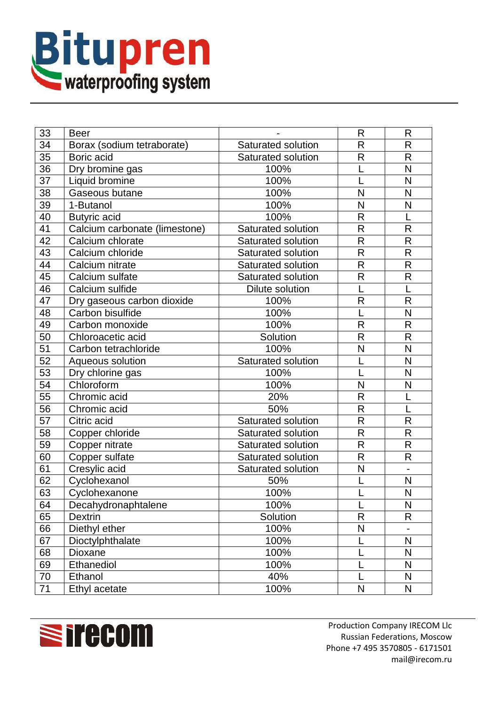

| 33              | <b>Beer</b>                   |                        | R            | R                            |
|-----------------|-------------------------------|------------------------|--------------|------------------------------|
| 34              | Borax (sodium tetraborate)    | Saturated solution     | $\mathsf{R}$ | $\mathsf{R}$                 |
| 35              | Boric acid                    | Saturated solution     | $\mathsf{R}$ | $\mathsf{R}$                 |
| 36              | Dry bromine gas               | 100%                   |              | N                            |
| 37              | Liquid bromine                | 100%                   |              | N                            |
| 38              | Gaseous butane                | 100%                   | N            | N                            |
| 39              | 1-Butanol                     | 100%                   | N            | N                            |
| 40              | <b>Butyric</b> acid           | 100%                   | R            | L                            |
| 41              | Calcium carbonate (limestone) | Saturated solution     | R            | $\mathsf{R}$                 |
| $4\overline{2}$ | Calcium chlorate              | Saturated solution     | R            | R                            |
| 43              | Calcium chloride              | Saturated solution     | R            | $\mathsf{R}$                 |
| 44              | Calcium nitrate               | Saturated solution     | R            | $\mathsf{R}$                 |
| 45              | Calcium sulfate               | Saturated solution     | R            | $\mathsf{R}$                 |
| 46              | Calcium sulfide               | <b>Dilute solution</b> | L            | L                            |
| 47              | Dry gaseous carbon dioxide    | 100%                   | $\mathsf{R}$ | $\mathsf{R}$                 |
| 48              | Carbon bisulfide              | 100%                   |              | N                            |
| 49              | Carbon monoxide               | 100%                   | R            | $\mathsf{R}$                 |
| 50              | Chloroacetic acid             | Solution               | R            | $\mathsf{R}$                 |
| 51              | Carbon tetrachloride          | 100%                   | N            | N                            |
| 52              | Aqueous solution              | Saturated solution     |              | N                            |
| 53              | Dry chlorine gas              | 100%                   |              | N                            |
| 54              | Chloroform                    | 100%                   | N            | N                            |
| 55              | Chromic acid                  | 20%                    | R            | L                            |
| 56              | Chromic acid                  | 50%                    | R            |                              |
| 57              | Citric acid                   | Saturated solution     | R            | $\mathsf{R}$                 |
| 58              | Copper chloride               | Saturated solution     | $\mathsf{R}$ | $\mathsf{R}$                 |
| 59              | Copper nitrate                | Saturated solution     | R            | $\mathsf{R}$                 |
| 60              | Copper sulfate                | Saturated solution     | R            | R                            |
| 61              | Cresylic acid                 | Saturated solution     | N            | $\qquad \qquad \blacksquare$ |
| 62              | Cyclohexanol                  | 50%                    | L            | N                            |
| 63              | Cyclohexanone                 | 100%                   |              | N                            |
| 64              | Decahydronaphtalene           | 100%                   |              | N                            |
| 65              | <b>Dextrin</b>                | Solution               | $\mathsf{R}$ | $\mathsf{R}$                 |
| 66              | Diethyl ether                 | 100%                   | N            |                              |
| 67              | Dioctylphthalate              | 100%                   |              | N                            |
| 68              | Dioxane                       | 100%                   |              | N                            |
| 69              | Ethanediol                    | 100%                   |              | $\mathsf{N}$                 |
| 70              | Ethanol                       | 40%                    | L            | $\mathsf{N}$                 |
| 71              | Ethyl acetate                 | 100%                   | N            | $\mathsf{N}$                 |

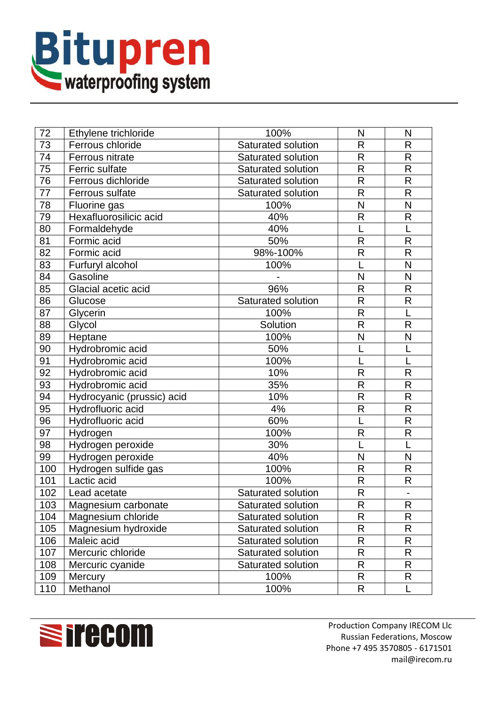

| 72              | Ethylene trichloride       | 100%               | N                       | N                            |
|-----------------|----------------------------|--------------------|-------------------------|------------------------------|
| 73              | Ferrous chloride           | Saturated solution | R                       | R                            |
| $\overline{74}$ | Ferrous nitrate            | Saturated solution | R                       | $\mathsf{R}$                 |
| 75              | Ferric sulfate             | Saturated solution | $\overline{\mathsf{R}}$ | $\overline{\mathsf{R}}$      |
| 76              | Ferrous dichloride         | Saturated solution | R                       | $\overline{\mathsf{R}}$      |
| 77              | Ferrous sulfate            | Saturated solution | R                       | R                            |
| 78              | Fluorine gas               | 100%               | N                       | N                            |
| 79              | Hexafluorosilicic acid     | 40%                | $\mathsf{R}$            | $\mathsf{R}$                 |
| 80              | Formaldehyde               | 40%                |                         |                              |
| 81              | Formic acid                | 50%                | $\mathsf{R}$            | $\mathsf{R}$                 |
| 82              | Formic acid                | 98%-100%           | $\mathsf{R}$            | $\mathsf{R}$                 |
| 83              | Furfuryl alcohol           | 100%               |                         | N                            |
| 84              | Gasoline                   |                    | N                       | N                            |
| 85              | Glacial acetic acid        | 96%                | $\mathsf{R}$            | $\mathsf{R}$                 |
| 86              | Glucose                    | Saturated solution | R                       | $\mathsf{R}$                 |
| 87              | Glycerin                   | 100%               | R                       | L                            |
| 88              | Glycol                     | Solution           | $\overline{\mathsf{R}}$ | $\mathsf{R}$                 |
| 89              | Heptane                    | 100%               | N                       | N                            |
| 90              | Hydrobromic acid           | 50%                |                         |                              |
| 91              | Hydrobromic acid           | 100%               |                         | L                            |
| 92              | Hydrobromic acid           | 10%                | $\mathsf{R}$            | $\mathsf{R}$                 |
| 93              | Hydrobromic acid           | 35%                | R                       | $\overline{\mathsf{R}}$      |
| 94              | Hydrocyanic (prussic) acid | 10%                | $\mathsf{R}$            | $\mathsf{R}$                 |
| 95              | Hydrofluoric acid          | 4%                 | R                       | $\mathsf{R}$                 |
| 96              | Hydrofluoric acid          | 60%                |                         | $\mathsf{R}$                 |
| 97              | Hydrogen                   | 100%               | $\mathsf{R}$            | $\mathsf{R}$                 |
| 98              | Hydrogen peroxide          | 30%                |                         |                              |
| 99              | Hydrogen peroxide          | 40%                | N                       | N                            |
| 100             | Hydrogen sulfide gas       | 100%               | R                       | $\mathsf{R}$                 |
| 101             | Lactic acid                | 100%               | $\overline{\mathsf{R}}$ | R                            |
| 102             | Lead acetate               | Saturated solution | $\mathsf{R}$            | $\qquad \qquad \blacksquare$ |
| 103             | Magnesium carbonate        | Saturated solution | R.                      | R                            |
| 104             | Magnesium chloride         | Saturated solution | $\mathsf{R}$            | $\mathsf R$                  |
| 105             | Magnesium hydroxide        | Saturated solution | R                       | R                            |
| 106             | Maleic acid                | Saturated solution | R                       | $\mathsf{R}$                 |
| 107             | Mercuric chloride          | Saturated solution | R                       | $\mathsf{R}% _{T}$           |
| 108             | Mercuric cyanide           | Saturated solution | $\mathsf{R}$            | R                            |
| 109             | Mercury                    | 100%               | R                       | R                            |
| 110             | Methanol                   | 100%               | R                       | L                            |

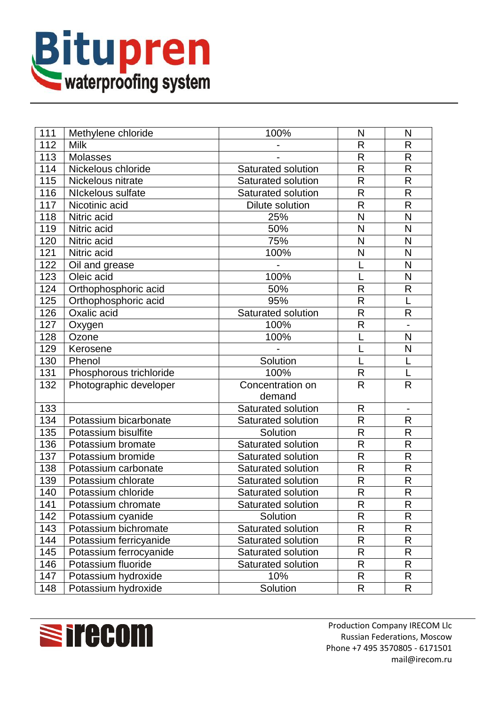

| 111 | Methylene chloride      | 100%                   | N                       | N                        |
|-----|-------------------------|------------------------|-------------------------|--------------------------|
| 112 | <b>Milk</b>             |                        | R                       | R                        |
| 113 | <b>Molasses</b>         |                        | $\overline{R}$          | $\mathsf{R}$             |
| 114 | Nickelous chloride      | Saturated solution     | $\overline{\mathsf{R}}$ | $\overline{\mathsf{R}}$  |
| 115 | Nickelous nitrate       | Saturated solution     | R                       | $\mathsf{R}$             |
| 116 | NIckelous sulfate       | Saturated solution     | $\mathsf{R}$            | $\mathsf{R}$             |
| 117 | Nicotinic acid          | <b>Dilute solution</b> | R                       | $\mathsf{R}$             |
| 118 | Nitric acid             | 25%                    | N                       | $\mathsf{N}$             |
| 119 | Nitric acid             | 50%                    | N                       | N                        |
| 120 | Nitric acid             | 75%                    | N                       | N                        |
| 121 | Nitric acid             | 100%                   | N                       | N                        |
| 122 | Oil and grease          |                        |                         | N                        |
| 123 | Oleic acid              | 100%                   |                         | N                        |
| 124 | Orthophosphoric acid    | 50%                    | $\mathsf{R}$            | $\mathsf{R}$             |
| 125 | Orthophosphoric acid    | 95%                    | R                       | L                        |
| 126 | Oxalic acid             | Saturated solution     | $\mathsf{R}$            | $\mathsf{R}$             |
| 127 | Oxygen                  | 100%                   | $\overline{\mathsf{R}}$ |                          |
| 128 | Ozone                   | 100%                   |                         | N                        |
| 129 | Kerosene                |                        |                         | N                        |
| 130 | Phenol                  | Solution               | L                       | L                        |
| 131 | Phosphorous trichloride | 100%                   | $\mathsf{R}$            |                          |
| 132 | Photographic developer  | Concentration on       | R                       | $\mathsf{R}$             |
|     |                         | demand                 |                         |                          |
| 133 |                         | Saturated solution     | $\mathsf{R}$            | $\overline{\phantom{a}}$ |
| 134 | Potassium bicarbonate   | Saturated solution     | $\mathsf{R}$            | R                        |
| 135 | Potassium bisulfite     | Solution               | $\overline{R}$          | $\mathsf{R}$             |
| 136 | Potassium bromate       | Saturated solution     | $\mathsf{R}$            | $\mathsf{R}$             |
| 137 | Potassium bromide       | Saturated solution     | $\mathsf{R}$            | $\mathsf{R}$             |
| 138 | Potassium carbonate     | Saturated solution     | $\mathsf{R}$            | $\mathsf{R}$             |
| 139 | Potassium chlorate      | Saturated solution     | $\mathsf{R}$            | $\mathsf{R}$             |
| 140 | Potassium chloride      | Saturated solution     | $\overline{R}$          | $\mathsf{R}$             |
| 141 | Potassium chromate      | Saturated solution     | R                       | $\overline{R}$           |
| 142 | Potassium cyanide       | Solution               | $\mathsf{R}$            | R                        |
| 143 | Potassium bichromate    | Saturated solution     | $\mathsf{R}$            | R                        |
| 144 | Potassium ferricyanide  | Saturated solution     | R                       | R                        |
| 145 | Potassium ferrocyanide  | Saturated solution     | $\mathsf{R}$            | R                        |
| 146 | Potassium fluoride      | Saturated solution     | $\mathsf{R}% _{T}$      | R                        |
| 147 | Potassium hydroxide     | 10%                    | $\mathsf R$             | R                        |
| 148 | Potassium hydroxide     | Solution               | $\mathsf{R}$            | R                        |

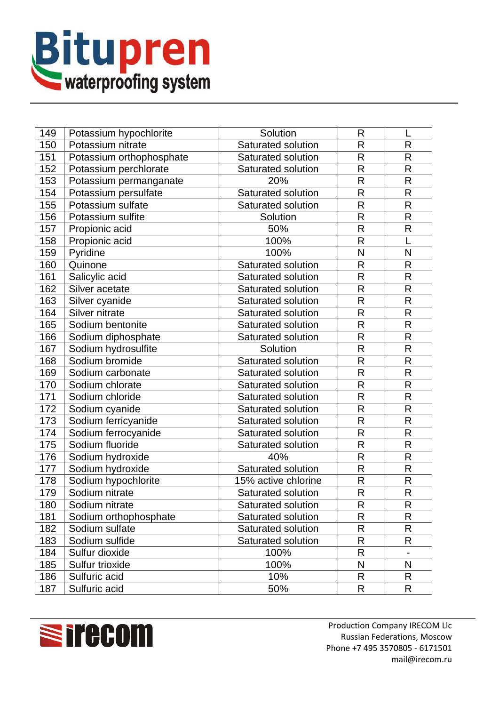

| 149 | Potassium hypochlorite   | Solution            | $\mathsf{R}$            |                         |
|-----|--------------------------|---------------------|-------------------------|-------------------------|
| 150 | Potassium nitrate        | Saturated solution  | R                       | R                       |
| 151 | Potassium orthophosphate | Saturated solution  | $\overline{R}$          | $\mathsf{R}$            |
| 152 | Potassium perchlorate    | Saturated solution  | R                       | $\mathsf{R}$            |
| 153 | Potassium permanganate   | 20%                 | $\mathsf{R}$            | $\mathsf{R}$            |
| 154 | Potassium persulfate     | Saturated solution  | $\mathsf{R}$            | $\mathsf{R}$            |
| 155 | Potassium sulfate        | Saturated solution  | R                       | $\mathsf{R}$            |
| 156 | Potassium sulfite        | Solution            | $\mathsf{R}$            | R                       |
| 157 | Propionic acid           | 50%                 | $\overline{\mathsf{R}}$ | $\overline{R}$          |
| 158 | Propionic acid           | 100%                | $\mathsf{R}$            | L                       |
| 159 | Pyridine                 | 100%                | N                       | N                       |
| 160 | Quinone                  | Saturated solution  | $\overline{\mathsf{R}}$ | $\mathsf{R}$            |
| 161 | Salicylic acid           | Saturated solution  | $\overline{\mathsf{R}}$ | $\mathsf{R}$            |
| 162 | Silver acetate           | Saturated solution  | $\mathsf{R}$            | $\mathsf R$             |
| 163 | Silver cyanide           | Saturated solution  | R                       | $\overline{\mathsf{R}}$ |
| 164 | Silver nitrate           | Saturated solution  | R                       | $\mathsf{R}$            |
| 165 | Sodium bentonite         | Saturated solution  | R                       | $\mathsf{R}$            |
| 166 | Sodium diphosphate       | Saturated solution  | $\mathsf{R}$            | $\mathsf{R}$            |
| 167 | Sodium hydrosulfite      | Solution            | $\mathsf{R}$            | $\mathsf{R}$            |
| 168 | Sodium bromide           | Saturated solution  | R                       | $\mathsf{R}$            |
| 169 | Sodium carbonate         | Saturated solution  | R                       | $\mathsf{R}$            |
| 170 | Sodium chlorate          | Saturated solution  | R                       | $\mathsf{R}$            |
| 171 | Sodium chloride          | Saturated solution  | R                       | $\mathsf{R}$            |
| 172 | Sodium cyanide           | Saturated solution  | $\overline{\mathsf{R}}$ | $\mathsf{R}$            |
| 173 | Sodium ferricyanide      | Saturated solution  | $\overline{\mathsf{R}}$ | $\mathsf{R}$            |
| 174 | Sodium ferrocyanide      | Saturated solution  | $\overline{\mathsf{R}}$ | $\mathsf{R}$            |
| 175 | Sodium fluoride          | Saturated solution  | $\mathsf{R}$            | $\overline{\mathsf{R}}$ |
| 176 | Sodium hydroxide         | 40%                 | R                       | $\mathsf{R}$            |
| 177 | Sodium hydroxide         | Saturated solution  | $\mathsf{R}$            | $\mathsf{R}% _{T}$      |
| 178 | Sodium hypochlorite      | 15% active chlorine | $\mathsf{R}$            | $\mathsf{R}$            |
| 179 | Sodium nitrate           | Saturated solution  | $\mathsf{R}$            | $\mathsf{R}$            |
| 180 | Sodium nitrate           | Saturated solution  | R.                      | $\overline{R}$          |
| 181 | Sodium orthophosphate    | Saturated solution  | $\mathsf{R}$            | R                       |
| 182 | Sodium sulfate           | Saturated solution  | R                       | R                       |
| 183 | Sodium sulfide           | Saturated solution  | R                       | R                       |
| 184 | Sulfur dioxide           | 100%                | R                       |                         |
| 185 | Sulfur trioxide          | 100%                | N                       | ${\sf N}$               |
| 186 | Sulfuric acid            | 10%                 | $\mathsf{R}$            | R                       |
| 187 | Sulfuric acid            | 50%                 | R                       | R.                      |



Production Company IRECOM Llc Russian Federations, Moscow Phone +7 495 3570805 - 6171501 mail@irecom.ru